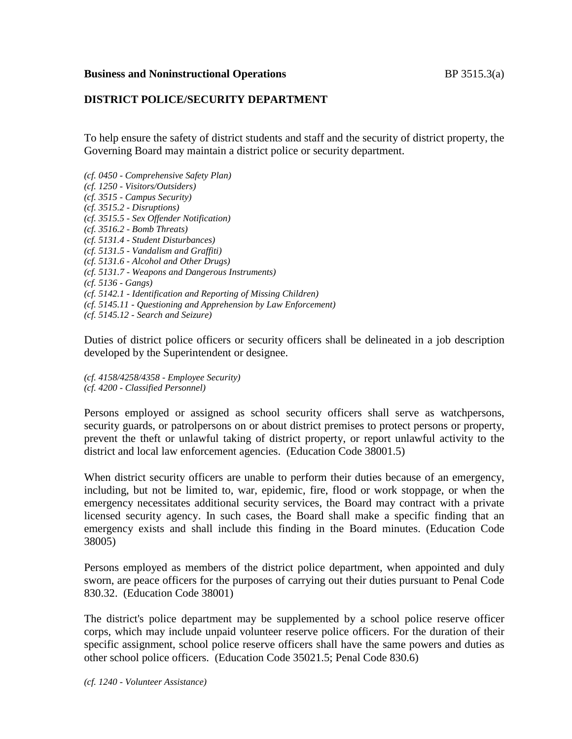## **DISTRICT POLICE/SECURITY DEPARTMENT**

To help ensure the safety of district students and staff and the security of district property, the Governing Board may maintain a district police or security department.

*(cf. 0450 - Comprehensive Safety Plan) (cf. 1250 - Visitors/Outsiders) (cf. 3515 - Campus Security) (cf. 3515.2 - Disruptions) (cf. 3515.5 - Sex Offender Notification) (cf. 3516.2 - Bomb Threats) (cf. 5131.4 - Student Disturbances) (cf. 5131.5 - Vandalism and Graffiti) (cf. 5131.6 - Alcohol and Other Drugs) (cf. 5131.7 - Weapons and Dangerous Instruments) (cf. 5136 - Gangs) (cf. 5142.1 - Identification and Reporting of Missing Children) (cf. 5145.11 - Questioning and Apprehension by Law Enforcement) (cf. 5145.12 - Search and Seizure)*

Duties of district police officers or security officers shall be delineated in a job description developed by the Superintendent or designee.

*(cf. 4158/4258/4358 - Employee Security) (cf. 4200 - Classified Personnel)*

Persons employed or assigned as school security officers shall serve as watchpersons, security guards, or patrolpersons on or about district premises to protect persons or property, prevent the theft or unlawful taking of district property, or report unlawful activity to the district and local law enforcement agencies. (Education Code 38001.5)

When district security officers are unable to perform their duties because of an emergency, including, but not be limited to, war, epidemic, fire, flood or work stoppage, or when the emergency necessitates additional security services, the Board may contract with a private licensed security agency. In such cases, the Board shall make a specific finding that an emergency exists and shall include this finding in the Board minutes. (Education Code 38005)

Persons employed as members of the district police department, when appointed and duly sworn, are peace officers for the purposes of carrying out their duties pursuant to Penal Code 830.32. (Education Code 38001)

The district's police department may be supplemented by a school police reserve officer corps, which may include unpaid volunteer reserve police officers. For the duration of their specific assignment, school police reserve officers shall have the same powers and duties as other school police officers. (Education Code 35021.5; Penal Code 830.6)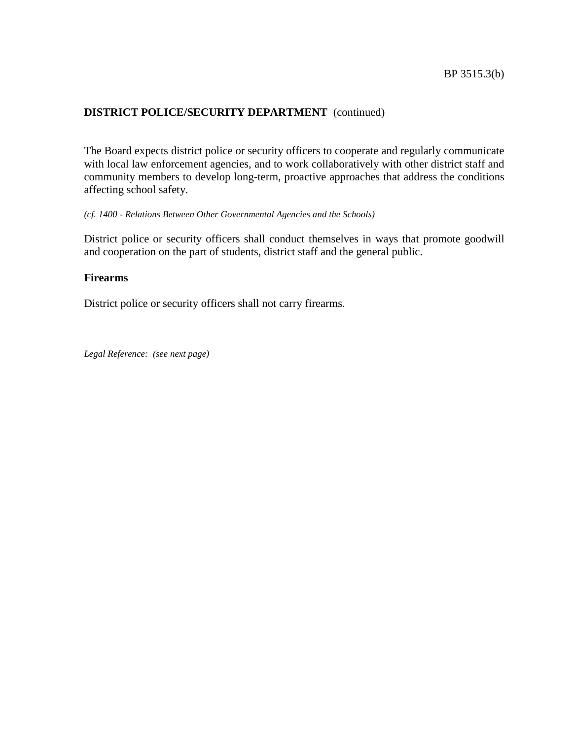The Board expects district police or security officers to cooperate and regularly communicate with local law enforcement agencies, and to work collaboratively with other district staff and community members to develop long-term, proactive approaches that address the conditions affecting school safety.

#### *(cf. 1400 - Relations Between Other Governmental Agencies and the Schools)*

District police or security officers shall conduct themselves in ways that promote goodwill and cooperation on the part of students, district staff and the general public.

#### **Firearms**

District police or security officers shall not carry firearms.

*Legal Reference: (see next page)*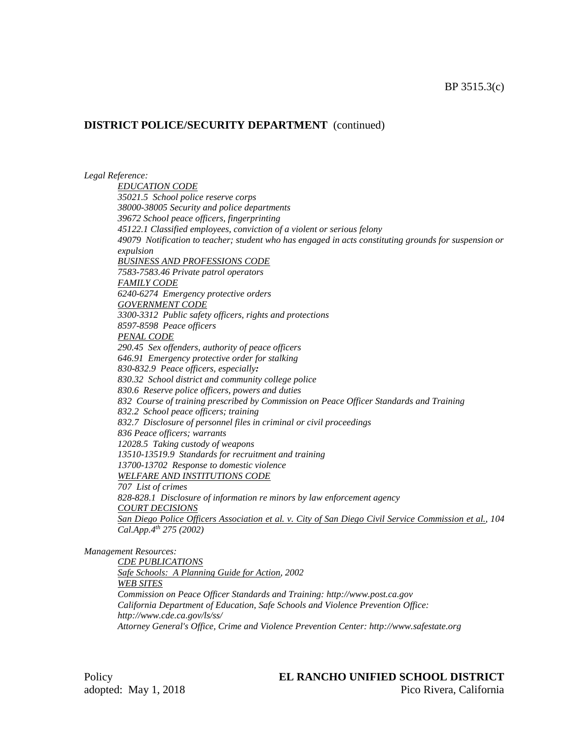#### *Legal Reference:*

*EDUCATION CODE 35021.5 School police reserve corps 38000-38005 Security and police departments 39672 School peace officers, fingerprinting 45122.1 Classified employees, conviction of a violent or serious felony 49079 Notification to teacher; student who has engaged in acts constituting grounds for suspension or expulsion BUSINESS AND PROFESSIONS CODE 7583-7583.46 Private patrol operators FAMILY CODE 6240-6274 Emergency protective orders GOVERNMENT CODE 3300-3312 Public safety officers, rights and protections 8597-8598 Peace officers PENAL CODE 290.45 Sex offenders, authority of peace officers 646.91 Emergency protective order for stalking 830-832.9 Peace officers, especially: 830.32 School district and community college police 830.6 Reserve police officers, powers and duties 832 Course of training prescribed by Commission on Peace Officer Standards and Training 832.2 School peace officers; training 832.7 Disclosure of personnel files in criminal or civil proceedings 836 Peace officers; warrants 12028.5 Taking custody of weapons 13510-13519.9 Standards for recruitment and training 13700-13702 Response to domestic violence WELFARE AND INSTITUTIONS CODE 707 List of crimes 828-828.1 Disclosure of information re minors by law enforcement agency COURT DECISIONS* San Diego Police Officers Association et al. v. City of San Diego Civil Service Commission et al., 104 *Cal.App.4th 275 (2002)*

*Management Resources:*

*CDE PUBLICATIONS Safe Schools: A Planning Guide for Action, 2002 WEB SITES Commission on Peace Officer Standards and Training: http://www.post.ca.gov California Department of Education, Safe Schools and Violence Prevention Office: http://www.cde.ca.gov/ls/ss/ Attorney General's Office, Crime and Violence Prevention Center: http://www.safestate.org*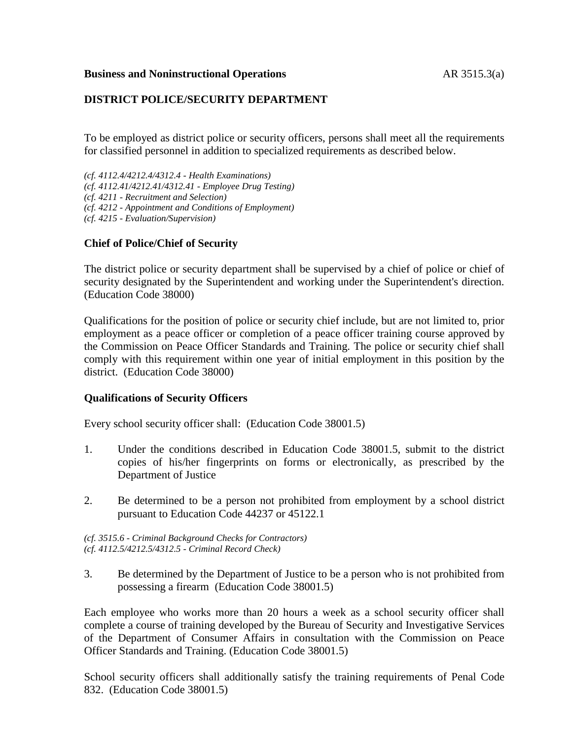# **DISTRICT POLICE/SECURITY DEPARTMENT**

To be employed as district police or security officers, persons shall meet all the requirements for classified personnel in addition to specialized requirements as described below.

*(cf. 4112.4/4212.4/4312.4 - Health Examinations) (cf. 4112.41/4212.41/4312.41 - Employee Drug Testing) (cf. 4211 - Recruitment and Selection) (cf. 4212 - Appointment and Conditions of Employment)*

*(cf. 4215 - Evaluation/Supervision)*

# **Chief of Police/Chief of Security**

The district police or security department shall be supervised by a chief of police or chief of security designated by the Superintendent and working under the Superintendent's direction. (Education Code 38000)

Qualifications for the position of police or security chief include, but are not limited to, prior employment as a peace officer or completion of a peace officer training course approved by the Commission on Peace Officer Standards and Training. The police or security chief shall comply with this requirement within one year of initial employment in this position by the district. (Education Code 38000)

### **Qualifications of Security Officers**

Every school security officer shall: (Education Code 38001.5)

- 1. Under the conditions described in Education Code 38001.5, submit to the district copies of his/her fingerprints on forms or electronically, as prescribed by the Department of Justice
- 2. Be determined to be a person not prohibited from employment by a school district pursuant to Education Code 44237 or 45122.1

*(cf. 3515.6 - Criminal Background Checks for Contractors) (cf. 4112.5/4212.5/4312.5 - Criminal Record Check)*

3. Be determined by the Department of Justice to be a person who is not prohibited from possessing a firearm (Education Code 38001.5)

Each employee who works more than 20 hours a week as a school security officer shall complete a course of training developed by the Bureau of Security and Investigative Services of the Department of Consumer Affairs in consultation with the Commission on Peace Officer Standards and Training. (Education Code 38001.5)

School security officers shall additionally satisfy the training requirements of Penal Code 832. (Education Code 38001.5)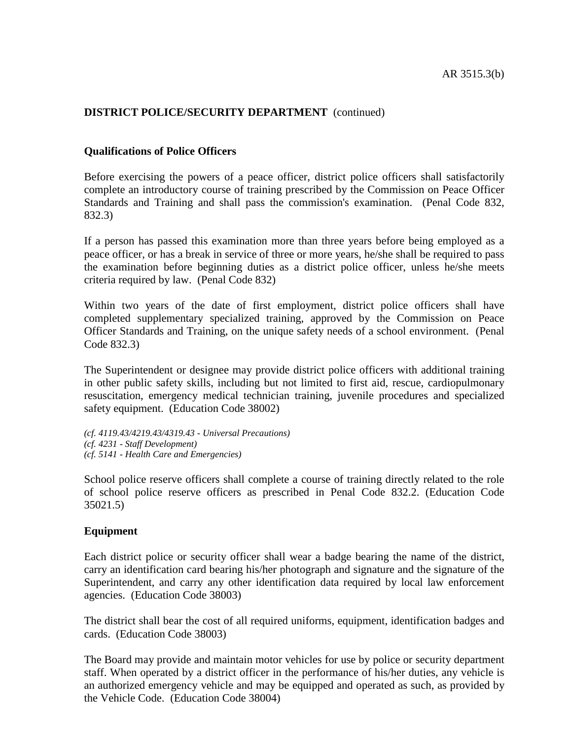#### **Qualifications of Police Officers**

Before exercising the powers of a peace officer, district police officers shall satisfactorily complete an introductory course of training prescribed by the Commission on Peace Officer Standards and Training and shall pass the commission's examination. (Penal Code 832, 832.3)

If a person has passed this examination more than three years before being employed as a peace officer, or has a break in service of three or more years, he/she shall be required to pass the examination before beginning duties as a district police officer, unless he/she meets criteria required by law. (Penal Code 832)

Within two years of the date of first employment, district police officers shall have completed supplementary specialized training, approved by the Commission on Peace Officer Standards and Training, on the unique safety needs of a school environment. (Penal Code 832.3)

The Superintendent or designee may provide district police officers with additional training in other public safety skills, including but not limited to first aid, rescue, cardiopulmonary resuscitation, emergency medical technician training, juvenile procedures and specialized safety equipment. (Education Code 38002)

```
(cf. 4119.43/4219.43/4319.43 - Universal Precautions)
(cf. 4231 - Staff Development)
(cf. 5141 - Health Care and Emergencies)
```
School police reserve officers shall complete a course of training directly related to the role of school police reserve officers as prescribed in Penal Code 832.2. (Education Code 35021.5)

#### **Equipment**

Each district police or security officer shall wear a badge bearing the name of the district, carry an identification card bearing his/her photograph and signature and the signature of the Superintendent, and carry any other identification data required by local law enforcement agencies. (Education Code 38003)

The district shall bear the cost of all required uniforms, equipment, identification badges and cards. (Education Code 38003)

The Board may provide and maintain motor vehicles for use by police or security department staff. When operated by a district officer in the performance of his/her duties, any vehicle is an authorized emergency vehicle and may be equipped and operated as such, as provided by the Vehicle Code. (Education Code 38004)